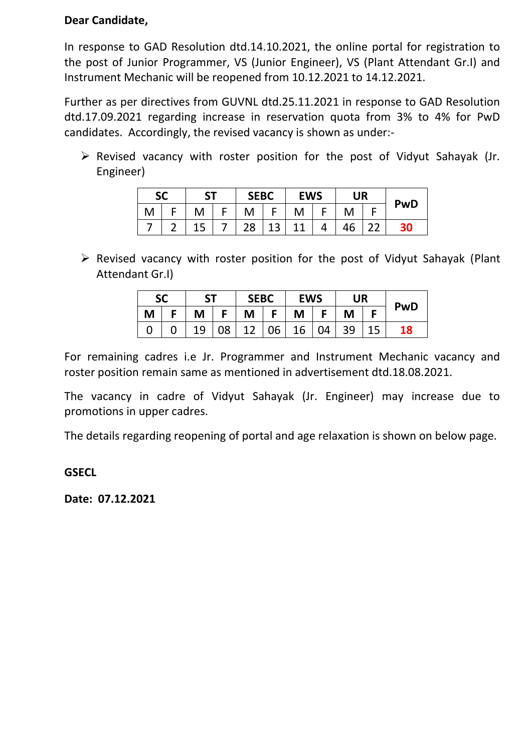### **Dear Candidate,**

In response to GAD Resolution dtd.14.10.2021, the online portal for registration to the post of Junior Programmer, VS (Junior Engineer), VS (Plant Attendant Gr.I) and Instrument Mechanic will be reopened from 10.12.2021 to 14.12.2021.

Further as per directives from GUVNL dtd.25.11.2021 in response to GAD Resolution dtd.17.09.2021 regarding increase in reservation quota from 3% to 4% for PwD candidates. Accordingly, the revised vacancy is shown as under:-

 $\triangleright$  Revised vacancy with roster position for the post of Vidyut Sahayak (Jr. Engineer)

| <b>SC</b> |   | C٦       |  | <b>SEBC</b> |                         | <b>EWS</b> |  | <b>UR</b> |   |            |
|-----------|---|----------|--|-------------|-------------------------|------------|--|-----------|---|------------|
| M         |   | M        |  |             | ┍                       | M          |  | M         |   | <b>PwD</b> |
|           | ∽ | 15<br>⊥ఎ |  | າດ          | $\mathbf{z}$<br>◢<br>⊥J | 11         |  | 46        | ົ | 30         |

➢ Revised vacancy with roster position for the post of Vidyut Sahayak (Plant Attendant Gr.I)

| <b>SC</b> |  | <b>ST</b> |    | <b>SEBC</b> |           | <b>EWS</b> |           | <b>UR</b> |  | <b>PwD</b> |
|-----------|--|-----------|----|-------------|-----------|------------|-----------|-----------|--|------------|
| M         |  | M         |    | M           | F.        | M          |           | M         |  |            |
|           |  | 19        | 08 | 12          | $106$   . | 16         | $\mid$ 04 | 39        |  | 18         |

For remaining cadres i.e Jr. Programmer and Instrument Mechanic vacancy and roster position remain same as mentioned in advertisement dtd.18.08.2021.

The vacancy in cadre of Vidyut Sahayak (Jr. Engineer) may increase due to promotions in upper cadres.

The details regarding reopening of portal and age relaxation is shown on below page.

### **GSECL**

**Date: 07.12.2021**